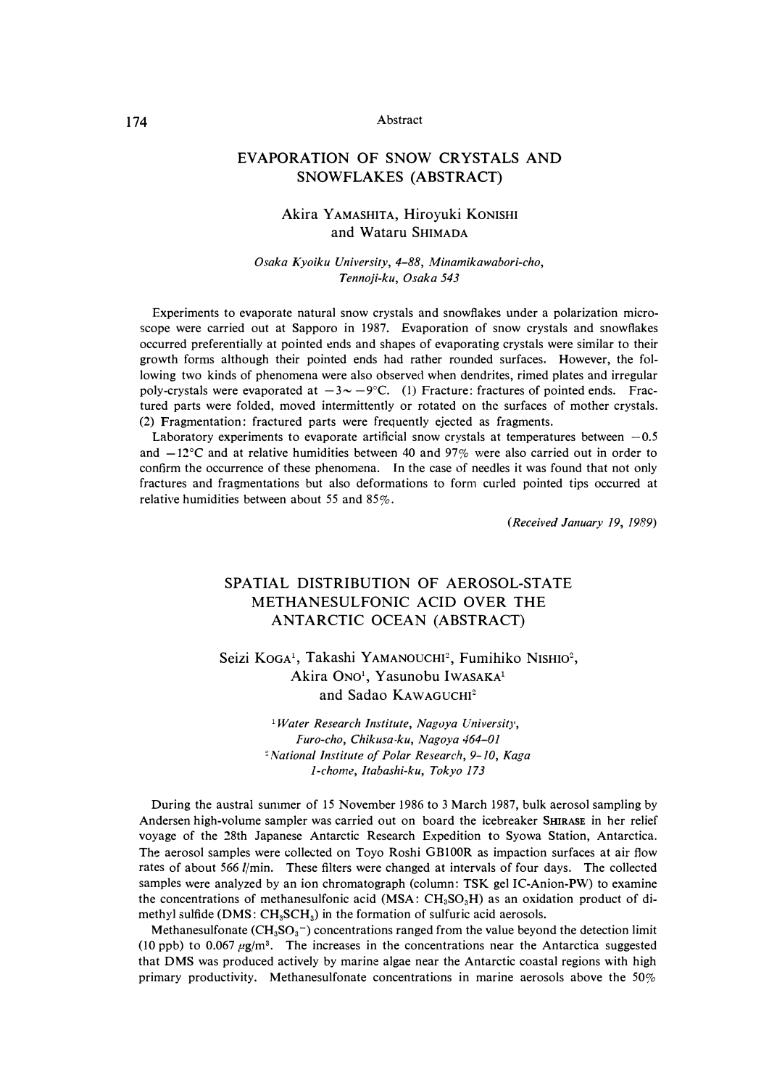## 174 Abstract

### **EVAPORATION OF SNOW CRYSTALS AND SNOWFLAKES (ABSTRACT)**

### Akira y AMASHITA, Hiroyuki KONISHI and Wataru SHIMADA

#### *Osaka Kyoiku University, 4-88, Minamikawabori-cho, Tennoji-ku, Osaka 543*

Experiments to evaporate natural snow crystals and snowflakes under a polarization microscope were carried out at Sapporo in 1987. Evaporation of snow crystals and snowflakes occurred preferentially at pointed ends and shapes of evaporating crystals were similar to their growth forms although their pointed ends had rather rounded surfaces. However, the following two kinds of phenomena were also observed when dendrites, rimed plates and irregular poly-crystals were evaporated at  $-3 \sim -9^{\circ}$ C. (1) Fracture: fractures of pointed ends. Fractured parts were folded, moved intermittently or rotated on the surfaces of mother crystals. (2) Fragmentation: fractured parts were frequently ejected as fragments.

Laboratory experiments to evaporate artificial snow crystals at temperatures between  $-0.5$ and  $-12^{\circ}$ C and at relative humidities between 40 and 97% were also carried out in order to confirm the occurrence of these phenomena. In the case of needles it was found that not only fractures and fragmentations but also deformations to form curled pointed tips occurred at relative humidities between about 55 and 85%.

*(Received January 19, 1989)* 

# SPATIAL DISTRIBUTION OF AEROSOL-STATE METHANESULFONIC ACID OVER THE ANTARCTIC OCEAN (ABSTRACT)

Seizi KOGA<sup>1</sup>, Takashi YAMANOUCHI<sup>2</sup>, Fumihiko NISHIO<sup>2</sup>, Akira Ono<sup>1</sup>, Yasunobu IwASAKA<sup>1</sup> and Sadao KAWAGUCHI<sup>2</sup>

> <sup>1</sup>*Water Research Institute, Nagvya University, Furo-cho, Chikusa-ku, Nagoya 464-01 � l\'ational institute of Polar Research, 9-10, Kaga 1-chome, Itabashi-ku, Tokyo 173*

During the austral summer of 15 November 1986 to 3 March 1987, bulk aerosol sampling by Andersen high-volume sampler was carried out on board the icebreaker **SHIRASE** in her relief voyage of the 28th Japanese Antarctic Research Expedition to Syowa Station, Antarctica. The aerosol samples were collected on Toyo Roshi GBlOOR as impaction surfaces at air flow rates of about 566 //min. These filters were changed at intervals of four days. The collected samples were analyzed by an ion chromatograph (column: TSK gel IC-Anion-PW) to examine the concentrations of methanesulfonic acid (MSA: CH**3**S0**3**H) as an oxidation product of dimethyl sulfide ( $\text{DMS}: \text{CH}_3\text{SCH}_3$ ) in the formation of sulfuric acid aerosols.

Methanesulfonate  $(CH_3SO_3^-)$  concentrations ranged from the value beyond the detection limit (10 ppb) to 0.067  $\mu$ g/m<sup>3</sup>. The increases in the concentrations near the Antarctica suggested that DMS was produced actively by marine algae near the Antarctic coastal regions with high primary productivity. Methanesulfonate concentrations in marine aerosols above the 50%